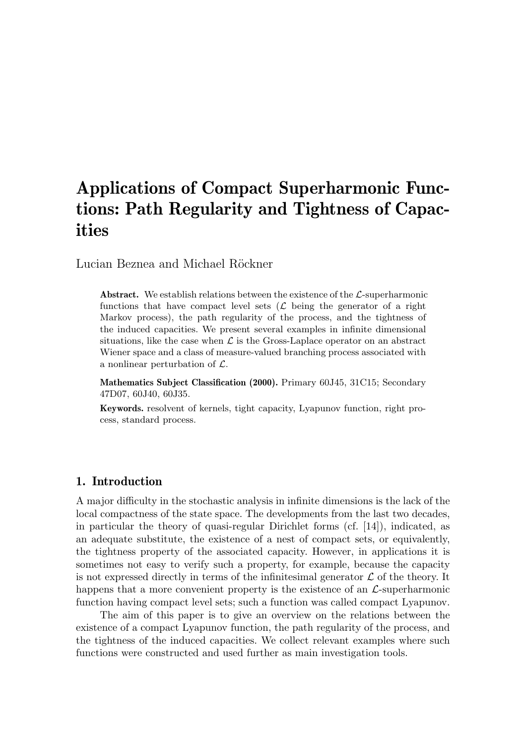# Applications of Compact Superharmonic Functions: Path Regularity and Tightness of Capacities

Lucian Beznea and Michael Röckner

**Abstract.** We establish relations between the existence of the  $\mathcal{L}$ -superharmonic functions that have compact level sets  $(\mathcal{L})$  being the generator of a right Markov process), the path regularity of the process, and the tightness of the induced capacities. We present several examples in infinite dimensional situations, like the case when  $\mathcal L$  is the Gross-Laplace operator on an abstract Wiener space and a class of measure-valued branching process associated with a nonlinear perturbation of L.

Mathematics Subject Classification (2000). Primary 60J45, 31C15; Secondary 47D07, 60J40, 60J35.

Keywords. resolvent of kernels, tight capacity, Lyapunov function, right process, standard process.

# 1. Introduction

A major difficulty in the stochastic analysis in infinite dimensions is the lack of the local compactness of the state space. The developments from the last two decades, in particular the theory of quasi-regular Dirichlet forms (cf. [14]), indicated, as an adequate substitute, the existence of a nest of compact sets, or equivalently, the tightness property of the associated capacity. However, in applications it is sometimes not easy to verify such a property, for example, because the capacity is not expressed directly in terms of the infinitesimal generator  $\mathcal L$  of the theory. It happens that a more convenient property is the existence of an  $\mathcal{L}$ -superharmonic function having compact level sets; such a function was called compact Lyapunov.

The aim of this paper is to give an overview on the relations between the existence of a compact Lyapunov function, the path regularity of the process, and the tightness of the induced capacities. We collect relevant examples where such functions were constructed and used further as main investigation tools.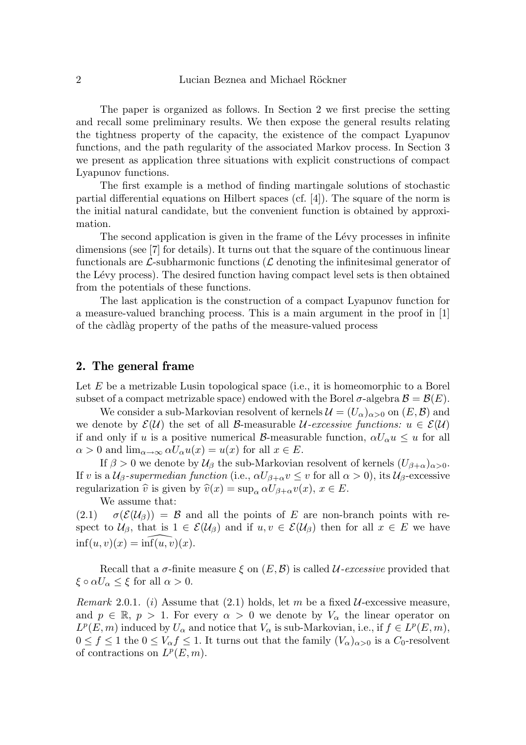The paper is organized as follows. In Section 2 we first precise the setting and recall some preliminary results. We then expose the general results relating the tightness property of the capacity, the existence of the compact Lyapunov functions, and the path regularity of the associated Markov process. In Section 3 we present as application three situations with explicit constructions of compact Lyapunov functions.

The first example is a method of finding martingale solutions of stochastic partial differential equations on Hilbert spaces (cf. [4]). The square of the norm is the initial natural candidate, but the convenient function is obtained by approximation.

The second application is given in the frame of the Lévy processes in infinite dimensions (see [7] for details). It turns out that the square of the continuous linear functionals are  $\mathcal{L}$ -subharmonic functions ( $\mathcal{L}$  denoting the infinitesimal generator of the Lévy process). The desired function having compact level sets is then obtained from the potentials of these functions.

The last application is the construction of a compact Lyapunov function for a measure-valued branching process. This is a main argument in the proof in [1] of the c`adl`ag property of the paths of the measure-valued process

# 2. The general frame

Let  $E$  be a metrizable Lusin topological space (i.e., it is homeomorphic to a Borel subset of a compact metrizable space) endowed with the Borel  $\sigma$ -algebra  $\mathcal{B} = \mathcal{B}(E)$ .

We consider a sub-Markovian resolvent of kernels  $\mathcal{U} = (U_\alpha)_{\alpha>0}$  on  $(E,\mathcal{B})$  and we denote by  $\mathcal{E}(\mathcal{U})$  the set of all B-measurable U-excessive functions:  $u \in \mathcal{E}(\mathcal{U})$ if and only if u is a positive numerical B-measurable function,  $\alpha U_{\alpha}u \leq u$  for all  $\alpha > 0$  and  $\lim_{\alpha \to \infty} \alpha U_{\alpha} u(x) = u(x)$  for all  $x \in E$ .

If  $\beta > 0$  we denote by  $\mathcal{U}_{\beta}$  the sub-Markovian resolvent of kernels  $(U_{\beta+\alpha})_{\alpha>0}$ . If v is a  $U_\beta$ -supermedian function (i.e.,  $\alpha U_{\beta+\alpha}v \leq v$  for all  $\alpha > 0$ ), its  $U_\beta$ -excessive regularization  $\hat{v}$  is given by  $\hat{v}(x) = \sup_{\alpha} \alpha U_{\beta+\alpha}v(x), x \in E$ .

We assume that:

(2.1)  $\sigma(\mathcal{E}(\mathcal{U}_{\beta})) = \mathcal{B}$  and all the points of E are non-branch points with respect to  $U_\beta$ , that is  $1 \in \mathcal{E}(\mathcal{U}_\beta)$  and if  $u, v \in \mathcal{E}(\mathcal{U}_\beta)$  then for all  $x \in E$  we have  $\inf(u, v)(x) = \inf(u, v)(x)$ .

Recall that a  $\sigma$ -finite measure  $\xi$  on  $(E, \mathcal{B})$  is called *U*-excessive provided that  $\xi \circ \alpha U_{\alpha} \leq \xi$  for all  $\alpha > 0$ .

Remark 2.0.1. (i) Assume that (2.1) holds, let m be a fixed  $U$ -excessive measure, and  $p \in \mathbb{R}$ ,  $p > 1$ . For every  $\alpha > 0$  we denote by  $V_{\alpha}$  the linear operator on  $L^p(E, m)$  induced by  $U_\alpha$  and notice that  $V_\alpha$  is sub-Markovian, i.e., if  $f \in L^p(E, m)$ ,  $0 \le f \le 1$  the  $0 \le V_{\alpha} f \le 1$ . It turns out that the family  $(V_{\alpha})_{\alpha>0}$  is a  $C_0$ -resolvent of contractions on  $L^p(E, m)$ .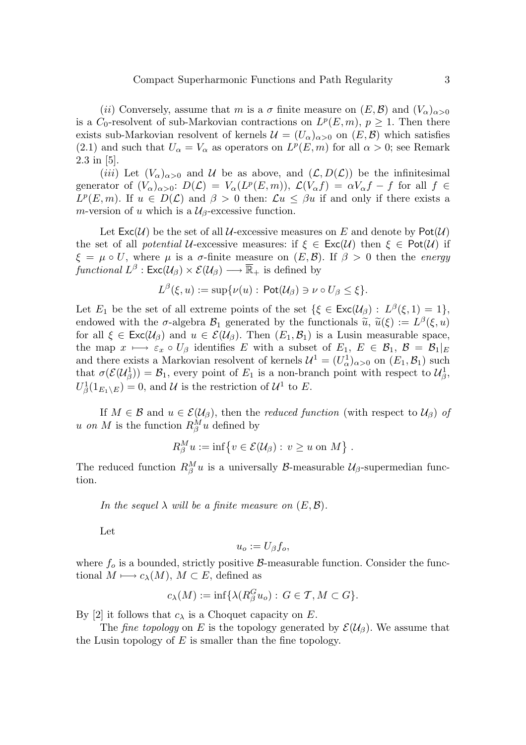(ii) Conversely, assume that m is a  $\sigma$  finite measure on  $(E, \mathcal{B})$  and  $(V_{\alpha})_{\alpha > 0}$ is a  $C_0$ -resolvent of sub-Markovian contractions on  $L^p(E, m)$ ,  $p \geq 1$ . Then there exists sub-Markovian resolvent of kernels  $\mathcal{U} = (U_\alpha)_{\alpha>0}$  on  $(E,\mathcal{B})$  which satisfies (2.1) and such that  $U_{\alpha} = V_{\alpha}$  as operators on  $L^p(E, m)$  for all  $\alpha > 0$ ; see Remark 2.3 in [5].

(iii) Let  $(V_\alpha)_{\alpha>0}$  and U be as above, and  $(\mathcal{L}, D(\mathcal{L}))$  be the infinitesimal generator of  $(V_{\alpha})_{\alpha>0}$ :  $D(\mathcal{L}) = V_{\alpha}(L^p(E,m))$ ,  $\mathcal{L}(V_{\alpha}f) = \alpha V_{\alpha}f - f$  for all  $f \in$  $L^p(E, m)$ . If  $u \in D(\mathcal{L})$  and  $\beta > 0$  then:  $\mathcal{L}u \leq \beta u$  if and only if there exists a m-version of u which is a  $\mathcal{U}_{\beta}$ -excessive function.

Let  $\textsf{Exc}(\mathcal{U})$  be the set of all  $\mathcal{U}\text{-excessive measures on }E$  and denote by  $\textsf{Pot}(\mathcal{U})$ the set of all *potential* U-excessive measures: if  $\xi \in \text{Exc}(U)$  then  $\xi \in \text{Pot}(U)$  if  $\xi = \mu \circ U$ , where  $\mu$  is a  $\sigma$ -finite measure on  $(E, \mathcal{B})$ . If  $\beta > 0$  then the *energy* functional  $L^{\beta}$  :  $\mathsf{Exc}(\mathcal{U}_{\beta})\times \mathcal{E}(\mathcal{U}_{\beta})\longrightarrow \overline{\mathbb{R}}_{+}$  is defined by

$$
L^{\beta}(\xi, u) := \sup \{ \nu(u) : \mathsf{Pot}(\mathcal{U}_{\beta}) \ni \nu \circ U_{\beta} \leq \xi \}.
$$

Let  $E_1$  be the set of all extreme points of the set  $\{\xi \in \text{Exc}(\mathcal{U}_{\beta}) : L^{\beta}(\xi,1) = 1\},\$ endowed with the σ-algebra  $\mathcal{B}_1$  generated by the functionals  $\tilde{u}, \tilde{u}(\xi) := L^{\beta}(\xi, u)$ <br>for all  $\xi \in \text{Exc}(u_0)$  and  $u \in \mathcal{E}(u_0)$ . Then  $(E, \mathcal{B}_1)$  is a Lusin measurable space for all  $\xi \in \text{Exc}(\mathcal{U}_{\beta})$  and  $u \in \mathcal{E}(\mathcal{U}_{\beta})$ . Then  $(E_1, \mathcal{B}_1)$  is a Lusin measurable space, the map  $x \mapsto \varepsilon_x \circ U_\beta$  identifies E with a subset of  $E_1, E \in \mathcal{B}_1, \mathcal{B} = \mathcal{B}_1|_E$ and there exists a Markovian resolvent of kernels  $\mathcal{U}^1 = (U^1_\alpha)_{\alpha>0}$  on  $(E_1, \mathcal{B}_1)$  such that  $\sigma(\mathcal{E}(\mathcal{U}_{\beta}^1)) = \mathcal{B}_1$ , every point of  $E_1$  is a non-branch point with respect to  $\mathcal{U}_{\beta}^1$ ,  $U^1_\beta(1_{E_1\setminus E})=0$ , and U is the restriction of  $\mathcal{U}^1$  to E.

If  $M \in \mathcal{B}$  and  $u \in \mathcal{E}(\mathcal{U}_{\beta})$ , then the *reduced function* (with respect to  $\mathcal{U}_{\beta}$ ) of u on M is the function  $R_\beta^M u$  defined by

$$
R_{\beta}^{M} u := \inf \{ v \in \mathcal{E}(\mathcal{U}_{\beta}) : v \geq u \text{ on } M \} .
$$

The reduced function  $R_{\beta}^{M}u$  is a universally *B*-measurable  $\mathcal{U}_{\beta}$ -supermedian function.

In the sequel  $\lambda$  will be a finite measure on  $(E, \mathcal{B})$ .

Let

$$
u_o := U_\beta f_o,
$$

where  $f_o$  is a bounded, strictly positive  $\beta$ -measurable function. Consider the functional  $M \longmapsto c_{\lambda}(M)$ ,  $M \subset E$ , defined as

$$
c_{\lambda}(M) := \inf \{ \lambda(R_{\beta}^G u_o) : G \in \mathcal{T}, M \subset G \}.
$$

By [2] it follows that  $c_{\lambda}$  is a Choquet capacity on E.

The *fine topology* on E is the topology generated by  $\mathcal{E}(\mathcal{U}_{\beta})$ . We assume that the Lusin topology of  $E$  is smaller than the fine topology.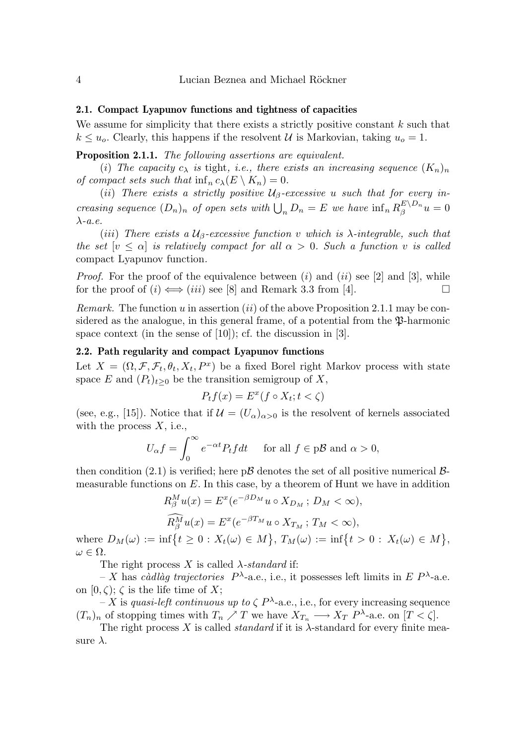## 2.1. Compact Lyapunov functions and tightness of capacities

We assume for simplicity that there exists a strictly positive constant  $k$  such that  $k \leq u_o$ . Clearly, this happens if the resolvent U is Markovian, taking  $u_o = 1$ .

Proposition 2.1.1. The following assertions are equivalent.

(i) The capacity  $c_{\lambda}$  is tight, i.e., there exists an increasing sequence  $(K_n)_n$ of compact sets such that  $\inf_n c_\lambda(E \setminus K_n) = 0$ .

(ii) There exists a strictly positive  $\mathcal{U}_{\beta}$ -excessive u such that for every increasing sequence  $(D_n)_n$  of open sets with  $\bigcup_n D_n = E$  we have  $\inf_n R_{\beta}^{E \setminus D_n} u = 0$  $\lambda-a.e.$ 

(iii) There exists a  $\mathcal{U}_{\beta}$ -excessive function v which is  $\lambda$ -integrable, such that the set  $[v \leq \alpha]$  is relatively compact for all  $\alpha > 0$ . Such a function v is called compact Lyapunov function.

*Proof.* For the proof of the equivalence between  $(i)$  and  $(ii)$  see [2] and [3], while for the proof of  $(i) \iff (iii)$  see [8] and Remark 3.3 from [4].

*Remark.* The function u in assertion  $(ii)$  of the above Proposition 2.1.1 may be considered as the analogue, in this general frame, of a potential from the  $\mathfrak{P}$ -harmonic space context (in the sense of [10]); cf. the discussion in [3].

## 2.2. Path regularity and compact Lyapunov functions

Let  $X = (\Omega, \mathcal{F}, \mathcal{F}_t, \theta_t, X_t, P^x)$  be a fixed Borel right Markov process with state space E and  $(P_t)_{t>0}$  be the transition semigroup of X,

$$
P_t f(x) = E^x(f \circ X_t; t < \zeta)
$$

(see, e.g., [15]). Notice that if  $\mathcal{U} = (U_{\alpha})_{\alpha > 0}$  is the resolvent of kernels associated with the process  $X$ , i.e.,

$$
U_{\alpha}f = \int_0^{\infty} e^{-\alpha t} P_t f dt \quad \text{ for all } f \in p\mathcal{B} \text{ and } \alpha > 0,
$$

then condition (2.1) is verified; here  $p\mathcal{B}$  denotes the set of all positive numerical  $\mathcal{B}$ measurable functions on  $E$ . In this case, by a theorem of Hunt we have in addition

$$
R_{\beta}^{M} u(x) = E^{x} (e^{-\beta D_{M}} u \circ X_{D_{M}}; D_{M} < \infty),
$$
  

$$
\widehat{R_{\beta}^{M}} u(x) = E^{x} (e^{-\beta T_{M}} u \circ X_{T_{M}}; T_{M} < \infty),
$$

where  $D_M(\omega) := \inf \{ t \geq 0 : X_t(\omega) \in M \}, T_M(\omega) := \inf \{ t > 0 : X_t(\omega) \in M \},$  $\omega \in \Omega$ .

The right process X is called  $\lambda$ -standard if:

- X has càdlàg trajectories  $P^{\lambda}$ -a.e., i.e., it possesses left limits in E  $P^{\lambda}$ -a.e. on  $[0, \zeta)$ ;  $\zeta$  is the life time of X;

- X is quasi-left continuous up to  $\zeta P^{\lambda}$ -a.e., i.e., for every increasing sequence  $(T_n)_n$  of stopping times with  $T_n \nearrow T$  we have  $X_{T_n} \longrightarrow X_T$   $P^{\lambda}$ -a.e. on  $[T < \zeta]$ .

The right process X is called *standard* if it is  $\lambda$ -standard for every finite measure  $\lambda$ .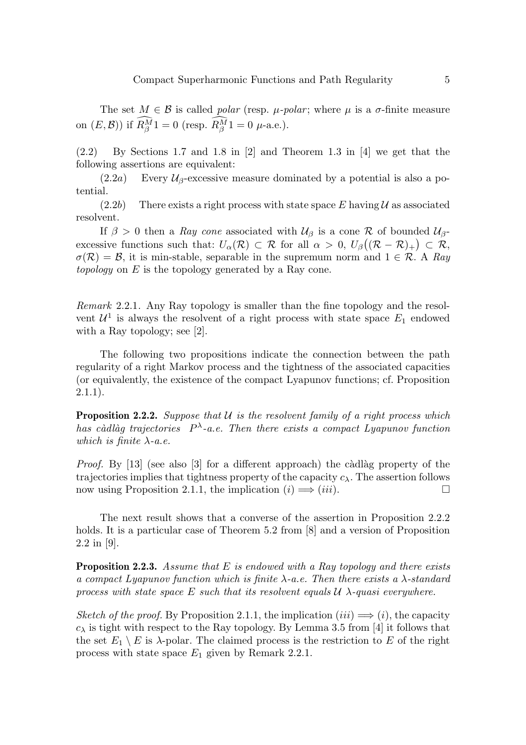The set  $M \in \mathcal{B}$  is called *polar* (resp.  $\mu$ -*polar*; where  $\mu$  is a  $\sigma$ -finite measure on  $(E, \mathcal{B})$  if  $R_{\beta}^{M}1 = 0$  (resp.  $R_{\beta}^{M}1 = 0$   $\mu$ -a.e.).

(2.2) By Sections 1.7 and 1.8 in [2] and Theorem 1.3 in [4] we get that the following assertions are equivalent:

 $(2.2a)$  Every  $\mathcal{U}_{\beta}$ -excessive measure dominated by a potential is also a potential.

 $(2.2b)$  There exists a right process with state space E having U as associated resolvent.

If  $\beta > 0$  then a Ray cone associated with  $\mathcal{U}_{\beta}$  is a cone R of bounded  $\mathcal{U}_{\beta}$ excessive functions such that:  $U_{\alpha}(\mathcal{R}) \subset \mathcal{R}$  for all  $\alpha > 0$ ,  $U_{\beta}((\mathcal{R} - \mathcal{R})_{+}) \subset \mathcal{R}$ ,  $\sigma(\mathcal{R}) = \mathcal{B}$ , it is min-stable, separable in the supremum norm and  $1 \in \mathcal{R}$ . A Ray topology on  $E$  is the topology generated by a Ray cone.

Remark 2.2.1. Any Ray topology is smaller than the fine topology and the resolvent  $\mathcal{U}^1$  is always the resolvent of a right process with state space  $E_1$  endowed with a Ray topology; see [2].

The following two propositions indicate the connection between the path regularity of a right Markov process and the tightness of the associated capacities (or equivalently, the existence of the compact Lyapunov functions; cf. Proposition  $2.1.1$ ).

**Proposition 2.2.2.** Suppose that  $U$  is the resolvent family of a right process which has càdlàg trajectories  $P^{\lambda}$ -a.e. Then there exists a compact Lyapunov function which is finite  $\lambda$ -a.e.

*Proof.* By  $[13]$  (see also  $[3]$  for a different approach) the càdlàg property of the trajectories implies that tightness property of the capacity  $c_{\lambda}$ . The assertion follows now using Proposition 2.1.1, the implication  $(i) \implies (iii)$ .

The next result shows that a converse of the assertion in Proposition 2.2.2 holds. It is a particular case of Theorem 5.2 from  $[8]$  and a version of Proposition 2.2 in [9].

**Proposition 2.2.3.** Assume that  $E$  is endowed with a Ray topology and there exists a compact Lyapunov function which is finite  $\lambda$ -a.e. Then there exists a  $\lambda$ -standard process with state space E such that its resolvent equals  $\mathcal{U}$   $\lambda$ -quasi everywhere.

Sketch of the proof. By Proposition 2.1.1, the implication  $(iii) \implies (i)$ , the capacity  $c_{\lambda}$  is tight with respect to the Ray topology. By Lemma 3.5 from [4] it follows that the set  $E_1 \setminus E$  is  $\lambda$ -polar. The claimed process is the restriction to E of the right process with state space  $E_1$  given by Remark 2.2.1.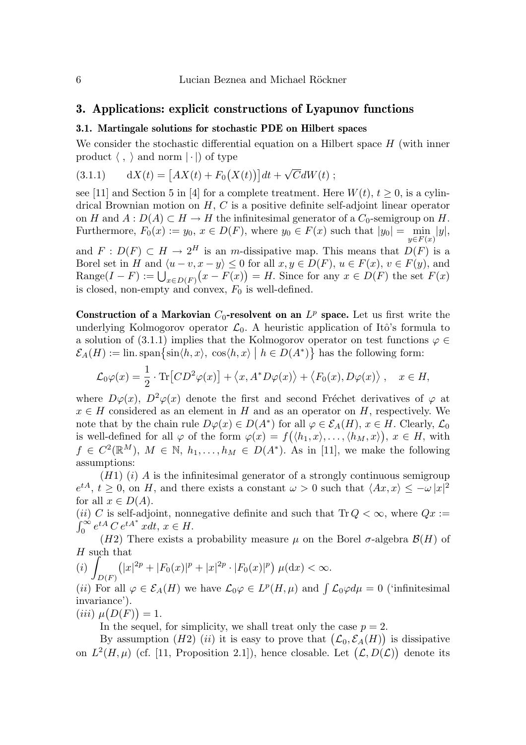## 3. Applications: explicit constructions of Lyapunov functions

## 3.1. Martingale solutions for stochastic PDE on Hilbert spaces

We consider the stochastic differential equation on a Hilbert space  $H$  (with inner product  $\langle , \rangle$  and norm  $| \cdot |$ ) of type

(3.1.1) 
$$
dX(t) = [AX(t) + F_0(X(t))]dt + \sqrt{C}dW(t);
$$

see [11] and Section 5 in [4] for a complete treatment. Here  $W(t)$ ,  $t > 0$ , is a cylindrical Brownian motion on  $H, C$  is a positive definite self-adjoint linear operator on H and  $A: D(A) \subset H \to H$  the infinitesimal generator of a  $C_0$ -semigroup on H. Furthermore,  $F_0(x) := y_0, x \in D(F)$ , where  $y_0 \in F(x)$  such that  $|y_0| = \min_{x \in D(F)} |y|$ ,  $y \in F(x)$ 

and  $F: D(F) \subset H \to 2^H$  is an m-dissipative map. This means that  $D(F)$  is a Borel set in H and  $\langle u - v, x - y \rangle \leq 0$  for all  $x, y \in D(F)$ ,  $u \in F(x)$ ,  $v \in F(y)$ , and Range( $I - F$ ) :=  $\bigcup_{x \in D(F)} (x - F(x)) = H$ . Since for any  $x \in D(F)$  the set  $F(x)$ is closed, non-empty and convex,  $F_0$  is well-defined.

Construction of a Markovian  $C_0$ -resolvent on an  $L^p$  space. Let us first write the underlying Kolmogorov operator  $\mathcal{L}_0$ . A heuristic application of Itô's formula to a solution of (3.1.1) implies that the Kolmogorov operator on test functions  $\varphi \in$  $\mathcal{E}_A(H) := \lim \text{span}\left\{\sin\langle h, x\rangle, \cos\langle h, x\rangle \mid h \in D(A^*)\right\}$  has the following form:

$$
\mathcal{L}_0\varphi(x) = \frac{1}{2} \cdot \text{Tr}\left[CD^2\varphi(x)\right] + \langle x, A^*D\varphi(x)\rangle + \langle F_0(x), D\varphi(x)\rangle, \quad x \in H,
$$

where  $D\varphi(x)$ ,  $D^2\varphi(x)$  denote the first and second Fréchet derivatives of  $\varphi$  at  $x \in H$  considered as an element in H and as an operator on H, respectively. We note that by the chain rule  $D\varphi(x) \in D(A^*)$  for all  $\varphi \in \mathcal{E}_A(H)$ ,  $x \in H$ . Clearly,  $\mathcal{L}_0$ is well-defined for all  $\varphi$  of the form  $\varphi(x) = f(\langle h_1, x \rangle, \ldots, \langle h_M, x \rangle), x \in H$ , with  $f \in C^2(\mathbb{R}^M)$ ,  $M \in \mathbb{N}$ ,  $h_1, \ldots, h_M \in D(A^*)$ . As in [11], we make the following assumptions:

 $(H1)$  (i) A is the infinitesimal generator of a strongly continuous semigroup  $e^{tA}, t \geq 0$ , on H, and there exists a constant  $\omega > 0$  such that  $\langle Ax, x \rangle \leq -\omega |x|^2$ for all  $x \in D(A)$ .

(ii) C is self-adjoint, nonnegative definite and such that  $\text{Tr } Q < \infty$ , where  $Qx :=$  $\int_0^\infty e^{tA} C e^{tA^*} x dt, \, x \in H.$ 

(H2) There exists a probability measure  $\mu$  on the Borel  $\sigma$ -algebra  $\mathcal{B}(H)$  of  $H$  such that

$$
(i) \int_{D(F)} (|x|^{2p} + |F_0(x)|^p + |x|^{2p} \cdot |F_0(x)|^p) \mu(\mathrm{d}x) < \infty.
$$

(*ii*) For all  $\varphi \in \mathcal{E}_A(H)$  we have  $\mathcal{L}_0\varphi \in L^p(H,\mu)$  and  $\int \mathcal{L}_0\varphi d\mu = 0$  ('infinitesimal invariance').

 $(iii) \mu(D(F)) = 1.$ 

In the sequel, for simplicity, we shall treat only the case  $p = 2$ .

By assumption (H2) (ii) it is easy to prove that  $(\mathcal{L}_0, \mathcal{E}_A(H))$  is dissipative on  $L^2(H,\mu)$  (cf. [11, Proposition 2.1]), hence closable. Let  $(\mathcal{L}, D(\mathcal{L}))$  denote its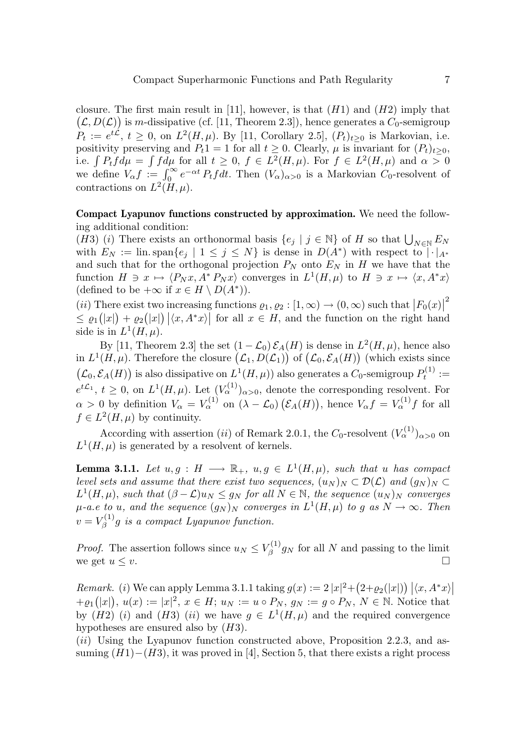closure. The first main result in [11], however, is that  $(H1)$  and  $(H2)$  imply that  $(\mathcal{L}, D(\mathcal{L}))$  is m-dissipative (cf. [11, Theorem 2.3]), hence generates a  $C_0$ -semigroup  $P_t := e^{t\mathcal{L}}, t \geq 0$ , on  $L^2(H, \mu)$ . By [11, Corollary 2.5],  $(P_t)_{t \geq 0}$  is Markovian, i.e. positivity preserving and  $P_t1 = 1$  for all  $t \geq 0$ . Clearly,  $\mu$  is invariant for  $(P_t)_{t \geq 0}$ , i.e.  $\int P_t f d\mu = \int f d\mu$  for all  $t \geq 0$ ,  $f \in L^2(H, \mu)$ . For  $f \in L^2(H, \mu)$  and  $\alpha > 0$ we define  $V_{\alpha}f := \int_0^{\infty} e^{-\alpha t} P_t f dt$ . Then  $(V_{\alpha})_{\alpha>0}$  is a Markovian  $C_0$ -resolvent of contractions on  $L^2(H,\mu)$ .

Compact Lyapunov functions constructed by approximation. We need the following additional condition:

(H3) (i) There exists an orthonormal basis  $\{e_j \mid j \in \mathbb{N}\}$  of H so that  $\bigcup_{N \in \mathbb{N}} E_N$ with  $E_N := \lim \text{span}\{e_j \mid 1 \leq j \leq N\}$  is dense in  $D(A^*)$  with respect to  $|\cdot|_{A^*}$ and such that for the orthogonal projection  $P_N$  onto  $E_N$  in H we have that the function  $H \ni x \mapsto \langle P_N x, A^* P_N x \rangle$  converges in  $L^1(H, \mu)$  to  $H \ni x \mapsto \langle x, A^* x \rangle$ (defined to be  $+\infty$  if  $x \in H \setminus D(A^*)$ ).

(*ii*) There exist two increasing functions  $\varrho_1, \varrho_2 : [1, \infty) \to (0, \infty)$  such that  $|F_0(x)|$ 2  $\leq \varrho_1(|x|) + \varrho_2(|x|) | \langle x, A^*x \rangle |$  for all  $x \in H$ , and the function on the right hand side is in  $L^1(H,\mu)$ .

By [11, Theorem 2.3] the set  $(1 - \mathcal{L}_0) \mathcal{E}_A(H)$  is dense in  $L^2(H, \mu)$ , hence also in  $L^1(H,\mu)$ . Therefore the closure  $(\mathcal{L}_1, D(\mathcal{L}_1))$  of  $(\mathcal{L}_0, \mathcal{E}_A(H))$  (which exists since  $(\mathcal{L}_0, \mathcal{E}_A(H))$  is also dissipative on  $L^1(H, \mu)$  also generates a  $C_0$ -semigroup  $P_t^{(1)}$  :=  $e^{t\mathcal{L}_1}, t \geq 0$ , on  $L^1(H, \mu)$ . Let  $(V_\alpha^{(1)})_{\alpha > 0}$ , denote the corresponding resolvent. For  $\alpha > 0$  by definition  $V_{\alpha} = V_{\alpha}^{(1)}$  on  $(\lambda - \mathcal{L}_0) (\mathcal{E}_A(H))$ , hence  $V_{\alpha} f = V_{\alpha}^{(1)} f$  for all  $f \in L^2(H, \mu)$  by continuity.

According with assertion (*ii*) of Remark 2.0.1, the  $C_0$ -resolvent  $(V_\alpha^{(1)})_{\alpha>0}$  on  $L^1(H,\mu)$  is generated by a resolvent of kernels.

**Lemma 3.1.1.** Let  $u, g : H \longrightarrow \mathbb{R}_+$ ,  $u, g \in L^1(H, \mu)$ , such that u has compact level sets and assume that there exist two sequences,  $(u_N)_N \subset \mathcal{D}(\mathcal{L})$  and  $(g_N)_N \subset$  $L^1(H,\mu)$ , such that  $(\beta - \mathcal{L})u_N \leq g_N$  for all  $N \in \mathbb{N}$ , the sequence  $(u_N)_N$  converges  $\mu$ -a.e to u, and the sequence  $(g_N)_N$  converges in  $L^1(H,\mu)$  to g as  $N \to \infty$ . Then  $v = V_{\beta}^{(1)}$  $\mathcal{E}_{\beta}^{(1)}$ g is a compact Lyapunov function.

*Proof.* The assertion follows since  $u_N \leq V_\beta^{(1)}$  $\zeta^{(1)}_{\beta}g_N$  for all N and passing to the limit we get  $u \leq v$ .

Remark. (i) We can apply Lemma 3.1.1 taking  $g(x) := 2 |x|^2 + (2 + \varrho_2(|x|)) | \langle x, A^*x \rangle |$  $+ \varrho_1(|x|), u(x) := |x|^2, x \in H; u_N := u \circ P_N, g_N := g \circ P_N, N \in \mathbb{N}$ . Notice that by (H2) (i) and (H3) (ii) we have  $g \in L^1(H,\mu)$  and the required convergence hypotheses are ensured also by  $(H3)$ .

 $(ii)$  Using the Lyapunov function constructed above, Proposition 2.2.3, and assuming  $(H1)-(H3)$ , it was proved in [4], Section 5, that there exists a right process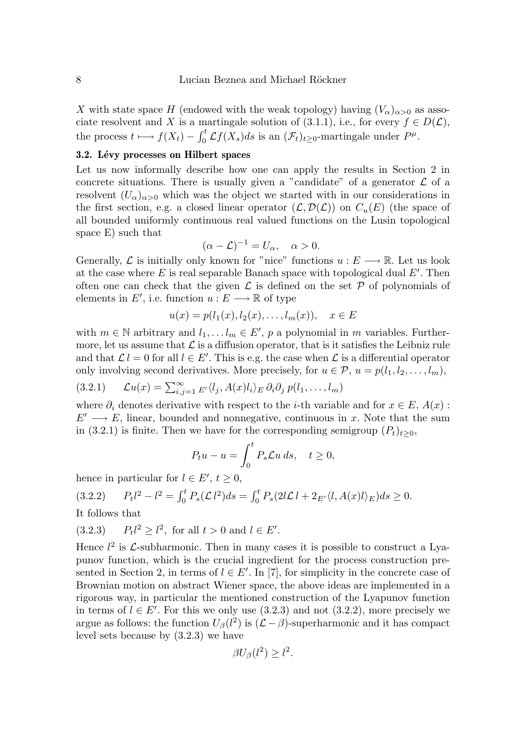X with state space H (endowed with the weak topology) having  $(V_\alpha)_{\alpha>0}$  as associate resolvent and X is a martingale solution of (3.1.1), i.e., for every  $f \in D(\mathcal{L})$ , the process  $t \longmapsto f(X_t) - \int_0^t \mathcal{L}f(X_s)ds$  is an  $(\mathcal{F}_t)_{t\geq 0}$ -martingale under  $P^{\mu}$ .

# 3.2. Lévy processes on Hilbert spaces

Let us now informally describe how one can apply the results in Section 2 in concrete situations. There is usually given a "candidate" of a generator  $\mathcal L$  of a resolvent  $(U_\alpha)_{\alpha>0}$  which was the object we started with in our considerations in the first section, e.g. a closed linear operator  $(\mathcal{L}, \mathcal{D}(\mathcal{L}))$  on  $C_u(E)$  (the space of all bounded uniformly continuous real valued functions on the Lusin topological space E) such that

$$
(\alpha - \mathcal{L})^{-1} = U_{\alpha}, \quad \alpha > 0.
$$

Generally,  $\mathcal L$  is initially only known for "nice" functions  $u : E \longrightarrow \mathbb R$ . Let us look at the case where  $E$  is real separable Banach space with topological dual  $E'$ . Then often one can check that the given  $\mathcal L$  is defined on the set  $\mathcal P$  of polynomials of elements in  $E'$ , i.e. function  $u : E \longrightarrow \mathbb{R}$  of type

$$
u(x) = p(l_1(x), l_2(x), \dots, l_m(x)), \quad x \in E
$$

with  $m \in \mathbb{N}$  arbitrary and  $l_1, \ldots l_m \in E'$ , p a polynomial in m variables. Furthermore, let us assume that  $\mathcal L$  is a diffusion operator, that is it satisfies the Leibniz rule and that  $\mathcal{L}l = 0$  for all  $l \in E'$ . This is e.g. the case when  $\mathcal L$  is a differential operator only involving second derivatives. More precisely, for  $u \in \mathcal{P}$ ,  $u = p(l_1, l_2, \ldots, l_m)$ ,

(3.2.1) 
$$
\mathcal{L}u(x) = \sum_{i,j=1}^{\infty} E'\langle l_j, A(x)l_i \rangle_E \partial_i \partial_j p(l_1,\ldots,l_m)
$$

where  $\partial_i$  denotes derivative with respect to the *i*-th variable and for  $x \in E$ ,  $A(x)$ :  $E' \longrightarrow E$ , linear, bounded and nonnegative, continuous in x. Note that the sum in (3.2.1) is finite. Then we have for the corresponding semigroup  $(P_t)_{t\geq0}$ ,

$$
P_t u - u = \int_0^t P_s \mathcal{L} u \, ds, \quad t \ge 0,
$$

hence in particular for  $l \in E', t \geq 0$ ,

$$
(3.2.2) \tP_t l^2 - l^2 = \int_0^t P_s(\mathcal{L} \, l^2) ds = \int_0^t P_s(2l\mathcal{L} \, l + 2_{E'} \langle l, A(x)l \rangle_E) ds \ge 0.
$$

It follows that

(3.2.3) 
$$
P_t l^2 \ge l^2
$$
, for all  $t > 0$  and  $l \in E'$ .

Hence  $l^2$  is  $\mathcal{L}$ -subharmonic. Then in many cases it is possible to construct a Lyapunov function, which is the crucial ingredient for the process construction presented in Section 2, in terms of  $l \in E'$ . In [7], for simplicity in the concrete case of Brownian motion on abstract Wiener space, the above ideas are implemented in a rigorous way, in particular the mentioned construction of the Lyapunov function in terms of  $l \in E'$ . For this we only use (3.2.3) and not (3.2.2), more precisely we argue as follows: the function  $U_{\beta}(l^2)$  is  $(L-\beta)$ -superharmonic and it has compact level sets because by (3.2.3) we have

$$
\beta U_{\beta}(l^2) \geq l^2.
$$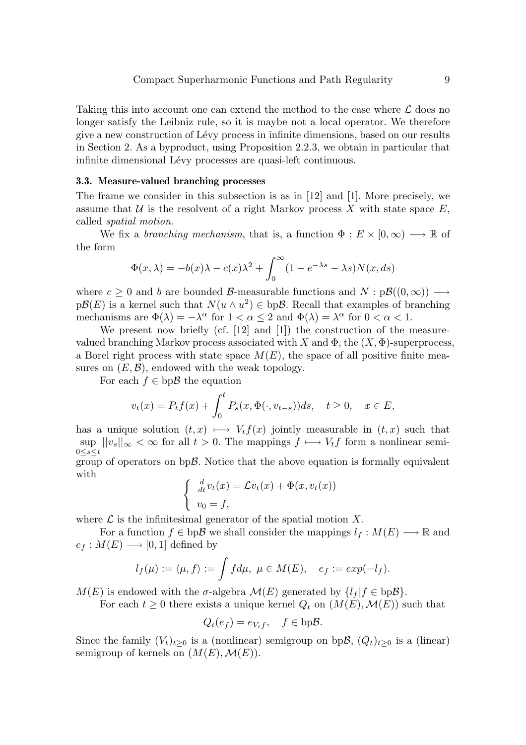Taking this into account one can extend the method to the case where  $\mathcal L$  does no longer satisfy the Leibniz rule, so it is maybe not a local operator. We therefore give a new construction of L´evy process in infinite dimensions, based on our results in Section 2. As a byproduct, using Proposition 2.2.3, we obtain in particular that infinite dimensional Lévy processes are quasi-left continuous.

### 3.3. Measure-valued branching processes

The frame we consider in this subsection is as in [12] and [1]. More precisely, we assume that  $U$  is the resolvent of a right Markov process X with state space  $E$ , called spatial motion.

We fix a branching mechanism, that is, a function  $\Phi : E \times [0, \infty) \longrightarrow \mathbb{R}$  of the form

$$
\Phi(x,\lambda) = -b(x)\lambda - c(x)\lambda^2 + \int_0^\infty (1 - e^{-\lambda s} - \lambda s)N(x, ds)
$$

where  $c \ge 0$  and b are bounded B-measurable functions and  $N : p\mathcal{B}((0,\infty)) \longrightarrow$  $p\mathcal{B}(E)$  is a kernel such that  $N(u \wedge u^2) \in bp\mathcal{B}$ . Recall that examples of branching mechanisms are  $\Phi(\lambda) = -\lambda^{\alpha}$  for  $1 < \alpha \leq 2$  and  $\Phi(\lambda) = \lambda^{\alpha}$  for  $0 < \alpha < 1$ .

We present now briefly (cf. [12] and [1]) the construction of the measurevalued branching Markov process associated with X and  $\Phi$ , the  $(X, \Phi)$ -superprocess, a Borel right process with state space  $M(E)$ , the space of all positive finite measures on  $(E, \mathcal{B})$ , endowed with the weak topology.

For each  $f \in bp\mathcal{B}$  the equation

$$
v_t(x) = P_t f(x) + \int_0^t P_s(x, \Phi(\cdot, v_{t-s})) ds, \quad t \ge 0, \quad x \in E,
$$

has a unique solution  $(t, x) \longmapsto V_t f(x)$  jointly measurable in  $(t, x)$  such that  $\sup ||v_s||_{\infty} < \infty$  for all  $t > 0$ . The mappings  $f \mapsto V_t f$  form a nonlinear semi- $0 < s < t$ 

group of operators on  $bp\mathcal{B}$ . Notice that the above equation is formally equivalent with

$$
\begin{cases} \frac{d}{dt}v_t(x) = \mathcal{L}v_t(x) + \Phi(x, v_t(x)) \\ v_0 = f, \end{cases}
$$

where  $\mathcal L$  is the infinitesimal generator of the spatial motion X.

For a function  $f \in bp\mathcal{B}$  we shall consider the mappings  $l_f : M(E) \longrightarrow \mathbb{R}$  and  $e_f : M(E) \longrightarrow [0,1]$  defined by

$$
l_f(\mu) := \langle \mu, f \rangle := \int f d\mu, \ \mu \in M(E), \quad e_f := exp(-l_f).
$$

 $M(E)$  is endowed with the  $\sigma$ -algebra  $\mathcal{M}(E)$  generated by  $\{l_f | f \in bp\mathcal{B}\}.$ 

For each  $t \geq 0$  there exists a unique kernel  $Q_t$  on  $(M(E), \mathcal{M}(E))$  such that

$$
Q_t(e_f) = e_{V_t f}, \quad f \in \text{bpB}.
$$

Since the family  $(V_t)_{t>0}$  is a (nonlinear) semigroup on bpB,  $(Q_t)_{t>0}$  is a (linear) semigroup of kernels on  $(M(E), \mathcal{M}(E)).$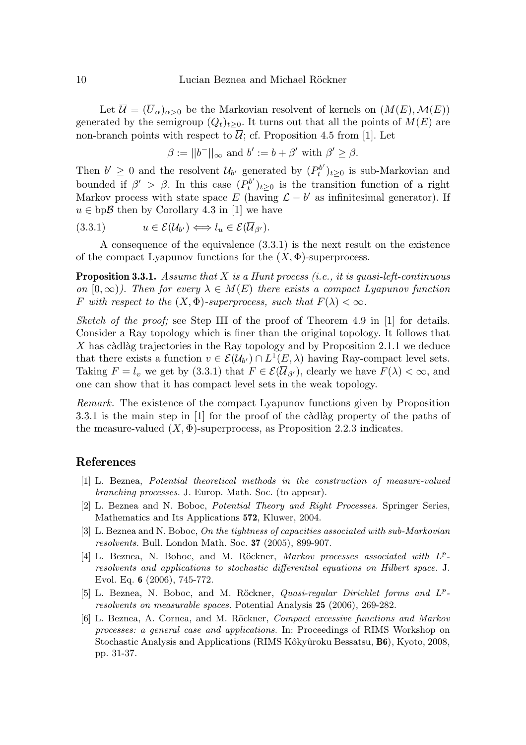Let  $\overline{\mathcal{U}} = (\overline{U}_{\alpha})_{\alpha > 0}$  be the Markovian resolvent of kernels on  $(M(E), \mathcal{M}(E))$ generated by the semigroup  $(Q_t)_{t>0}$ . It turns out that all the points of  $M(E)$  are non-branch points with respect to  $\overline{\mathcal{U}}$ ; cf. Proposition 4.5 from [1]. Let

$$
\beta := ||b^-||_{\infty} \text{ and } b' := b + \beta' \text{ with } \beta' \ge \beta.
$$

Then  $b' \geq 0$  and the resolvent  $\mathcal{U}_{b'}$  generated by  $(P_t^{b'})_{t\geq 0}$  is sub-Markovian and bounded if  $\beta' > \beta$ . In this case  $(P_t^{b'})_{t\geq 0}$  is the transition function of a right Markov process with state space E (having  $\mathcal{L} - b'$  as infinitesimal generator). If  $u \in \text{bpB}$  then by Corollary 4.3 in [1] we have

$$
(3.3.1) \t u \in \mathcal{E}(\mathcal{U}_{b'}) \Longleftrightarrow l_u \in \mathcal{E}(\overline{\mathcal{U}}_{\beta'}).
$$

A consequence of the equivalence (3.3.1) is the next result on the existence of the compact Lyapunov functions for the  $(X, \Phi)$ -superprocess.

**Proposition 3.3.1.** Assume that  $X$  is a Hunt process (i.e., it is quasi-left-continuous on  $[0, \infty)$ ). Then for every  $\lambda \in M(E)$  there exists a compact Lyapunov function F with respect to the  $(X, \Phi)$ -superprocess, such that  $F(\lambda) < \infty$ .

Sketch of the proof; see Step III of the proof of Theorem 4.9 in [1] for details. Consider a Ray topology which is finer than the original topology. It follows that  $X$  has càdlàg trajectories in the Ray topology and by Proposition 2.1.1 we deduce that there exists a function  $v \in \mathcal{E}(\mathcal{U}_{b'}) \cap L^1(E,\lambda)$  having Ray-compact level sets. Taking  $F = l_v$  we get by (3.3.1) that  $F \in \mathcal{E}(\overline{\mathcal{U}}_{\beta'})$ , clearly we have  $F(\lambda) < \infty$ , and one can show that it has compact level sets in the weak topology.

Remark. The existence of the compact Lyapunov functions given by Proposition  $3.3.1$  is the main step in  $[1]$  for the proof of the càdlàg property of the paths of the measure-valued  $(X, \Phi)$ -superprocess, as Proposition 2.2.3 indicates.

# References

- [1] L. Beznea, Potential theoretical methods in the construction of measure-valued branching processes. J. Europ. Math. Soc. (to appear).
- [2] L. Beznea and N. Boboc, Potential Theory and Right Processes. Springer Series, Mathematics and Its Applications 572, Kluwer, 2004.
- [3] L. Beznea and N. Boboc, On the tightness of capacities associated with sub-Markovian resolvents. Bull. London Math. Soc. 37 (2005), 899-907.
- [4] L. Beznea, N. Boboc, and M. Röckner, Markov processes associated with  $L^p$ resolvents and applications to stochastic differential equations on Hilbert space. J. Evol. Eq. 6 (2006), 745-772.
- [5] L. Beznea, N. Boboc, and M. Röckner, *Quasi-regular Dirichlet forms and L<sup>p</sup>*resolvents on measurable spaces. Potential Analysis 25 (2006), 269-282.
- [6] L. Beznea, A. Cornea, and M. Röckner, *Compact excessive functions and Markov* processes: a general case and applications. In: Proceedings of RIMS Workshop on Stochastic Analysis and Applications (RIMS Kôkyûroku Bessatsu, **B6**), Kyoto, 2008, pp. 31-37.